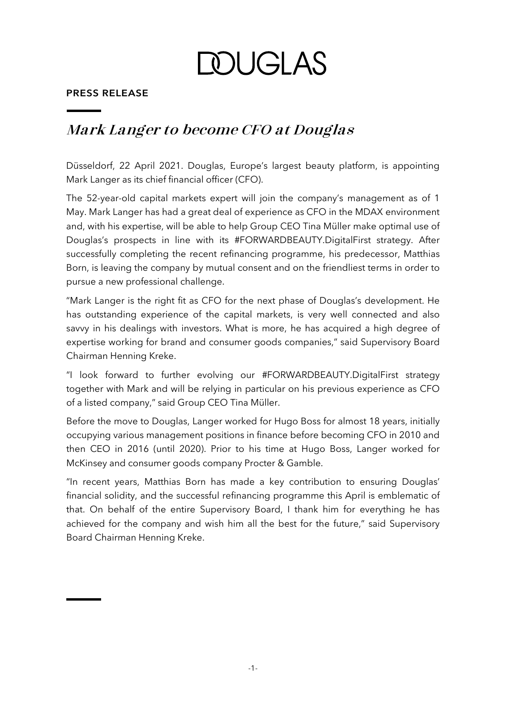**DOUGLAS** 

## **PRESS RELEASE**

## **Mark Langer to become CFO at Douglas**

Düsseldorf, 22 April 2021. Douglas, Europe's largest beauty platform, is appointing Mark Langer as its chief financial officer (CFO).

The 52-year-old capital markets expert will join the company's management as of 1 May. Mark Langer has had a great deal of experience as CFO in the MDAX environment and, with his expertise, will be able to help Group CEO Tina Müller make optimal use of Douglas's prospects in line with its #FORWARDBEAUTY.DigitalFirst strategy. After successfully completing the recent refinancing programme, his predecessor, Matthias Born, is leaving the company by mutual consent and on the friendliest terms in order to pursue a new professional challenge.

"Mark Langer is the right fit as CFO for the next phase of Douglas's development. He has outstanding experience of the capital markets, is very well connected and also savvy in his dealings with investors. What is more, he has acquired a high degree of expertise working for brand and consumer goods companies," said Supervisory Board Chairman Henning Kreke.

"I look forward to further evolving our #FORWARDBEAUTY.DigitalFirst strategy together with Mark and will be relying in particular on his previous experience as CFO of a listed company," said Group CEO Tina Müller.

Before the move to Douglas, Langer worked for Hugo Boss for almost 18 years, initially occupying various management positions in finance before becoming CFO in 2010 and then CEO in 2016 (until 2020). Prior to his time at Hugo Boss, Langer worked for McKinsey and consumer goods company Procter & Gamble.

"In recent years, Matthias Born has made a key contribution to ensuring Douglas' financial solidity, and the successful refinancing programme this April is emblematic of that. On behalf of the entire Supervisory Board, I thank him for everything he has achieved for the company and wish him all the best for the future," said Supervisory Board Chairman Henning Kreke.